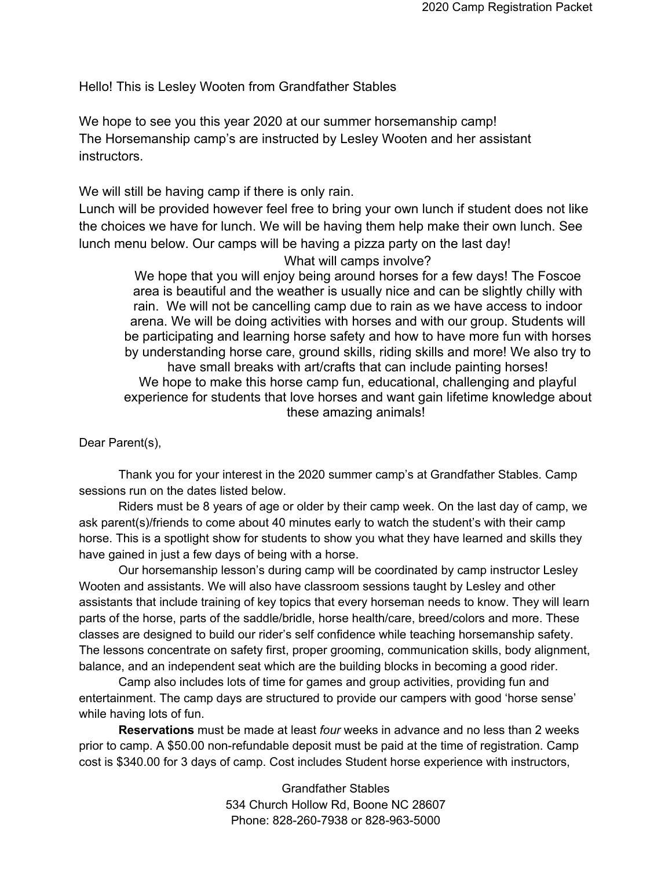Hello! This is Lesley Wooten from Grandfather Stables

We hope to see you this year 2020 at our summer horsemanship camp! The Horsemanship camp's are instructed by Lesley Wooten and her assistant instructors.

We will still be having camp if there is only rain.

Lunch will be provided however feel free to bring your own lunch if student does not like the choices we have for lunch. We will be having them help make their own lunch. See lunch menu below. Our camps will be having a pizza party on the last day!

What will camps involve?

We hope that you will enjoy being around horses for a few days! The Foscoe area is beautiful and the weather is usually nice and can be slightly chilly with rain. We will not be cancelling camp due to rain as we have access to indoor arena. We will be doing activities with horses and with our group. Students will be participating and learning horse safety and how to have more fun with horses by understanding horse care, ground skills, riding skills and more! We also try to have small breaks with art/crafts that can include painting horses! We hope to make this horse camp fun, educational, challenging and playful experience for students that love horses and want gain lifetime knowledge about these amazing animals!

Dear Parent(s),

Thank you for your interest in the 2020 summer camp's at Grandfather Stables. Camp sessions run on the dates listed below.

Riders must be 8 years of age or older by their camp week. On the last day of camp, we ask parent(s)/friends to come about 40 minutes early to watch the student's with their camp horse. This is a spotlight show for students to show you what they have learned and skills they have gained in just a few days of being with a horse.

Our horsemanship lesson's during camp will be coordinated by camp instructor Lesley Wooten and assistants. We will also have classroom sessions taught by Lesley and other assistants that include training of key topics that every horseman needs to know. They will learn parts of the horse, parts of the saddle/bridle, horse health/care, breed/colors and more. These classes are designed to build our rider's self confidence while teaching horsemanship safety. The lessons concentrate on safety first, proper grooming, communication skills, body alignment, balance, and an independent seat which are the building blocks in becoming a good rider.

Camp also includes lots of time for games and group activities, providing fun and entertainment. The camp days are structured to provide our campers with good 'horse sense' while having lots of fun.

**Reservations** must be made at least *four* weeks in advance and no less than 2 weeks prior to camp. A \$50.00 non-refundable deposit must be paid at the time of registration. Camp cost is \$340.00 for 3 days of camp. Cost includes Student horse experience with instructors,

> Grandfather Stables 534 Church Hollow Rd, Boone NC 28607 Phone: 828-260-7938 or 828-963-5000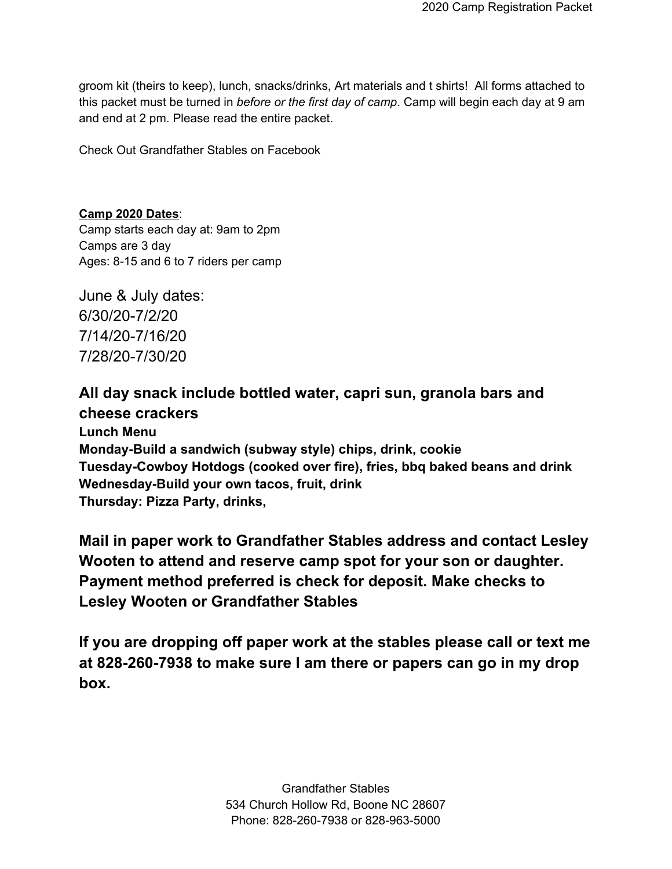groom kit (theirs to keep), lunch, snacks/drinks, Art materials and t shirts! All forms attached to this packet must be turned in *before or the first day of camp*. Camp will begin each day at 9 am and end at 2 pm. Please read the entire packet.

Check Out Grandfather Stables on Facebook

**Camp 2020 Dates**: Camp starts each day at: 9am to 2pm Camps are 3 day Ages: 8-15 and 6 to 7 riders per camp

June & July dates: 6/30/20-7/2/20 7/14/20-7/16/20 7/28/20-7/30/20

## **All day snack include bottled water, capri sun, granola bars and cheese crackers**

**Lunch Menu Monday-Build a sandwich (subway style) chips, drink, cookie Tuesday-Cowboy Hotdogs (cooked over fire), fries, bbq baked beans and drink Wednesday-Build your own tacos, fruit, drink Thursday: Pizza Party, drinks,** 

**Mail in paper work to Grandfather Stables address and contact Lesley Wooten to attend and reserve camp spot for your son or daughter. Payment method preferred is check for deposit. Make checks to Lesley Wooten or Grandfather Stables**

**If you are dropping off paper work at the stables please call or text me at 828-260-7938 to make sure I am there or papers can go in my drop box.**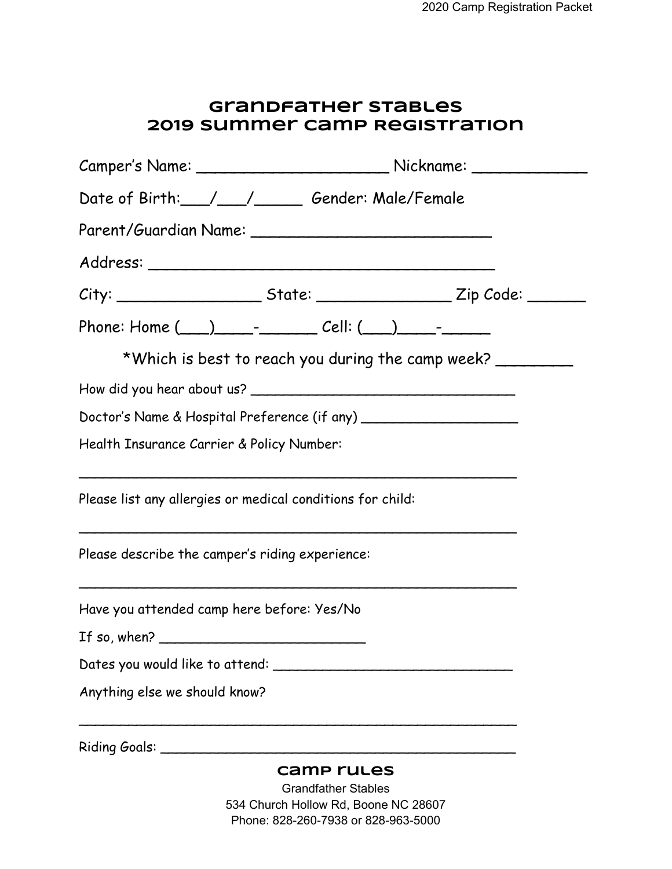## **Grandfather Stables 2019 Summer Camp Registration**

| Date of Birth: / / Gender: Male/Female                                                                       |                                   |  |
|--------------------------------------------------------------------------------------------------------------|-----------------------------------|--|
| Parent/Guardian Name: _________________________________                                                      |                                   |  |
|                                                                                                              |                                   |  |
|                                                                                                              |                                   |  |
| Phone: Home (___)________________ Cell: (___)__________                                                      |                                   |  |
| *Which is best to reach you during the camp week?                                                            |                                   |  |
|                                                                                                              |                                   |  |
| Doctor's Name & Hospital Preference (if any) ___________________________________                             |                                   |  |
| Health Insurance Carrier & Policy Number:                                                                    |                                   |  |
| Please list any allergies or medical conditions for child:                                                   |                                   |  |
| <u> 1989 - John Stein, Amerikaansk politiker († 1989)</u><br>Please describe the camper's riding experience: |                                   |  |
| Have you attended camp here before: Yes/No                                                                   |                                   |  |
| If so, when? $\qquad \qquad$                                                                                 |                                   |  |
|                                                                                                              |                                   |  |
| Anything else we should know?                                                                                |                                   |  |
| Riding Goals: ____________                                                                                   |                                   |  |
|                                                                                                              | camp rules<br>Crondfothor Ctabloo |  |

Grandfather Stables 534 Church Hollow Rd, Boone NC 28607 Phone: 828-260-7938 or 828-963-5000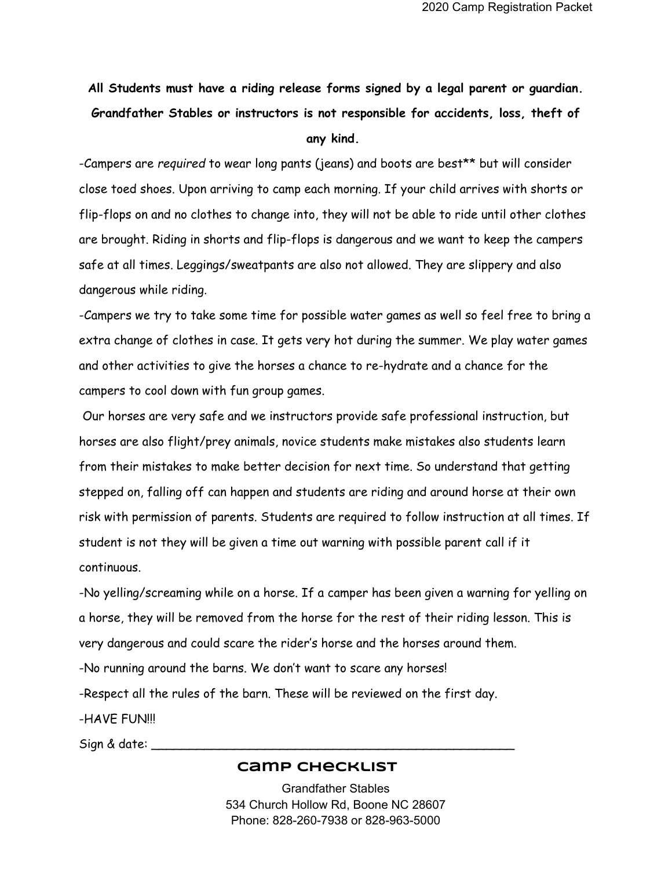## **All Students must have a riding release forms signed by a legal parent or guardian. Grandfather Stables or instructors is not responsible for accidents, loss, theft of any kind.**

-Campers are *required* to wear long pants (jeans) and boots are best\*\* but will consider close toed shoes. Upon arriving to camp each morning. If your child arrives with shorts or flip-flops on and no clothes to change into, they will not be able to ride until other clothes are brought. Riding in shorts and flip-flops is dangerous and we want to keep the campers safe at all times. Leggings/sweatpants are also not allowed. They are slippery and also dangerous while riding.

-Campers we try to take some time for possible water games as well so feel free to bring a extra change of clothes in case. It gets very hot during the summer. We play water games and other activities to give the horses a chance to re-hydrate and a chance for the campers to cool down with fun group games.

 Our horses are very safe and we instructors provide safe professional instruction, but horses are also flight/prey animals, novice students make mistakes also students learn from their mistakes to make better decision for next time. So understand that getting stepped on, falling off can happen and students are riding and around horse at their own risk with permission of parents. Students are required to follow instruction at all times. If student is not they will be given a time out warning with possible parent call if it continuous.

-No yelling/screaming while on a horse. If a camper has been given a warning for yelling on a horse, they will be removed from the horse for the rest of their riding lesson. This is very dangerous and could scare the rider's horse and the horses around them. -No running around the barns. We don't want to scare any horses! -Respect all the rules of the barn. These will be reviewed on the first day. -HAVE FUN!!!

Sign & date: \_\_\_\_\_\_\_\_\_\_\_\_\_\_\_\_\_\_\_\_\_\_\_\_\_\_\_\_\_\_\_\_\_\_\_\_\_\_\_\_\_\_\_\_\_\_\_\_

## **Camp Checklist**

Grandfather Stables 534 Church Hollow Rd, Boone NC 28607 Phone: 828-260-7938 or 828-963-5000